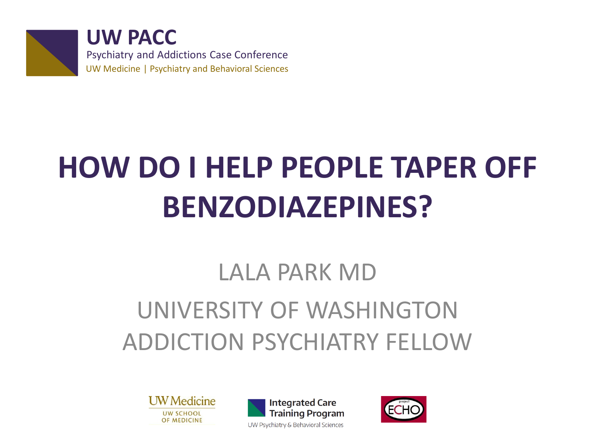

**UW PACC** Psychiatry and Addictions Case Conference UW Medicine | Psychiatry and Behavioral Sciences

# **HOW DO I HELP PEOPLE TAPER OFF BENZODIAZEPINES?**

#### LALA PARK MD UNIVERSITY OF WASHINGTON ADDICTION PSYCHIATRY FELLOW

**UW** Medicine **UW SCHOOL** OF MEDICINE



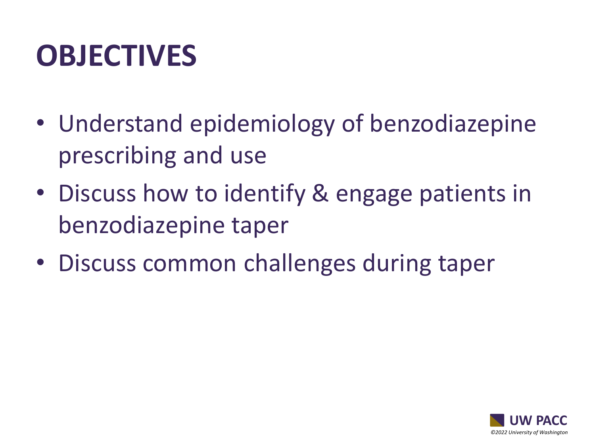## **OBJECTIVES**

- Understand epidemiology of benzodiazepine prescribing and use
- Discuss how to identify & engage patients in benzodiazepine taper
- Discuss common challenges during taper

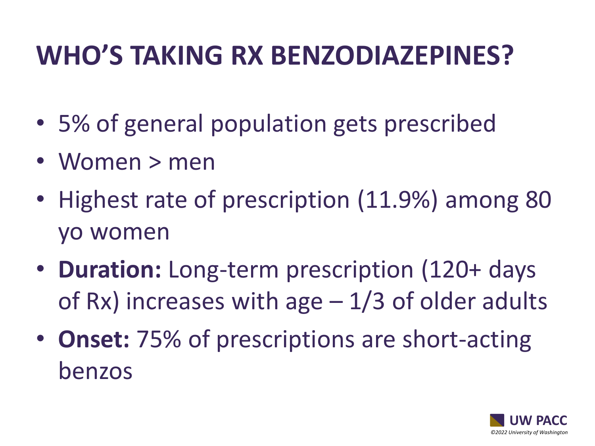#### **WHO'S TAKING RX BENZODIAZEPINES?**

- 5% of general population gets prescribed
- Women > men
- Highest rate of prescription (11.9%) among 80 yo women
- **Duration:** Long-term prescription (120+ days of Rx) increases with age  $-1/3$  of older adults
- **Onset:** 75% of prescriptions are short-acting benzos

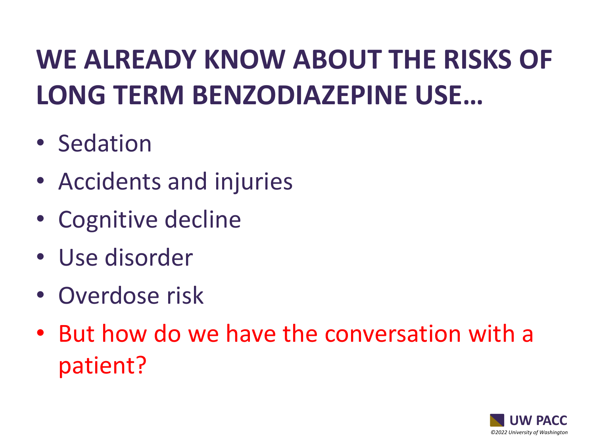### **WE ALREADY KNOW ABOUT THE RISKS OF LONG TERM BENZODIAZEPINE USE…**

- Sedation
- Accidents and injuries
- Cognitive decline
- Use disorder
- Overdose risk
- But how do we have the conversation with a patient?

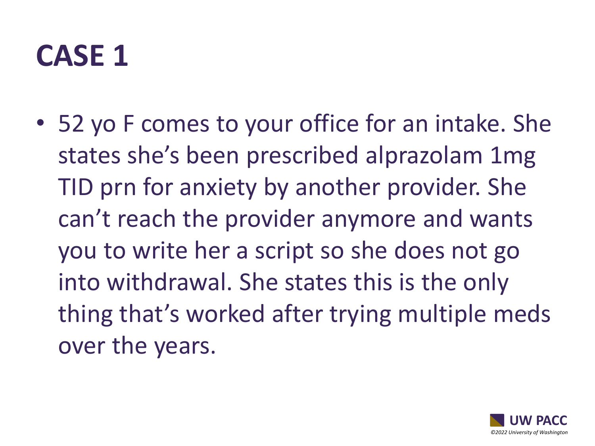#### **CASE 1**

• 52 yo F comes to your office for an intake. She states she's been prescribed alprazolam 1mg TID prn for anxiety by another provider. She can't reach the provider anymore and wants you to write her a script so she does not go into withdrawal. She states this is the only thing that's worked after trying multiple meds over the years.

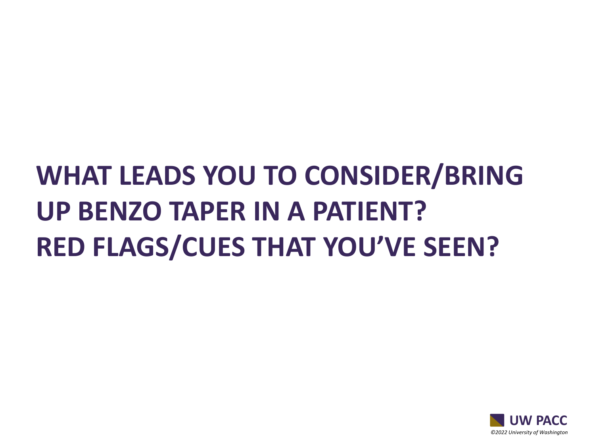#### **WHAT LEADS YOU TO CONSIDER/BRING UP BENZO TAPER IN A PATIENT? RED FLAGS/CUES THAT YOU'VE SEEN?**

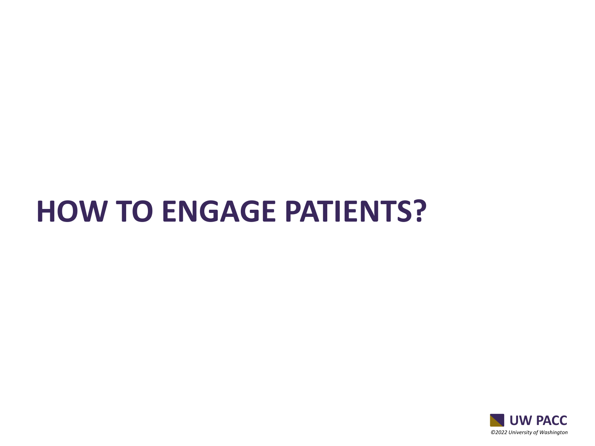#### **HOW TO ENGAGE PATIENTS?**

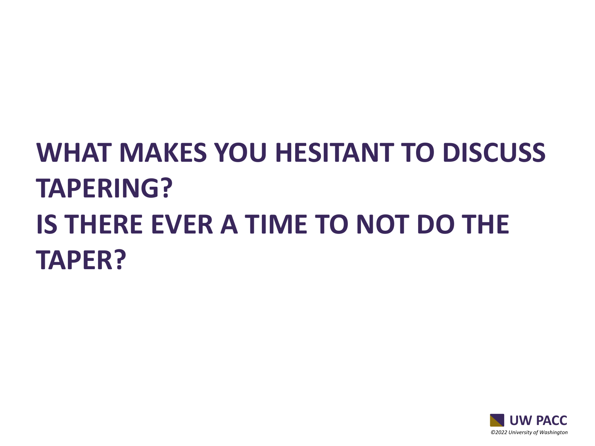### **WHAT MAKES YOU HESITANT TO DISCUSS TAPERING? IS THERE EVER A TIME TO NOT DO THE TAPER?**

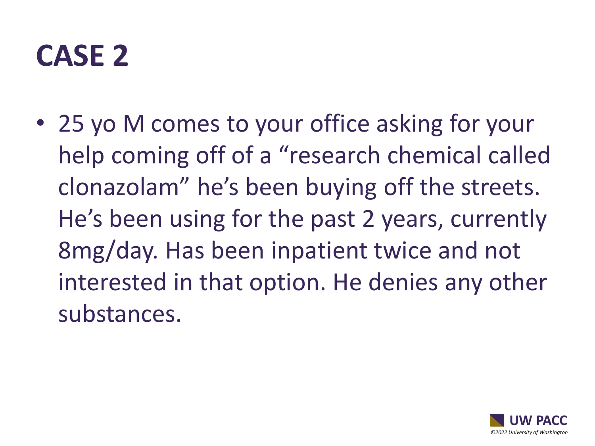#### **CASE 2**

• 25 yo M comes to your office asking for your help coming off of a "research chemical called clonazolam" he's been buying off the streets. He's been using for the past 2 years, currently 8mg/day. Has been inpatient twice and not interested in that option. He denies any other substances.

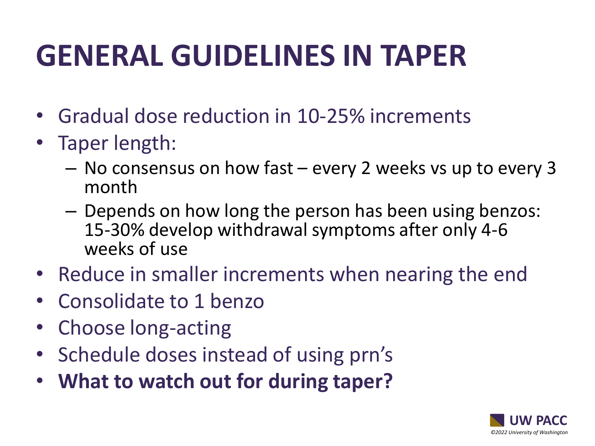## **GENERAL GUIDELINES IN TAPER**

- Gradual dose reduction in 10-25% increments
- Taper length:
	- No consensus on how fast every 2 weeks vs up to every 3 month
	- Depends on how long the person has been using benzos: 15-30% develop withdrawal symptoms after only 4-6 weeks of use
- Reduce in smaller increments when nearing the end
- Consolidate to 1 benzo
- Choose long-acting
- Schedule doses instead of using prn's
- **What to watch out for during taper?**

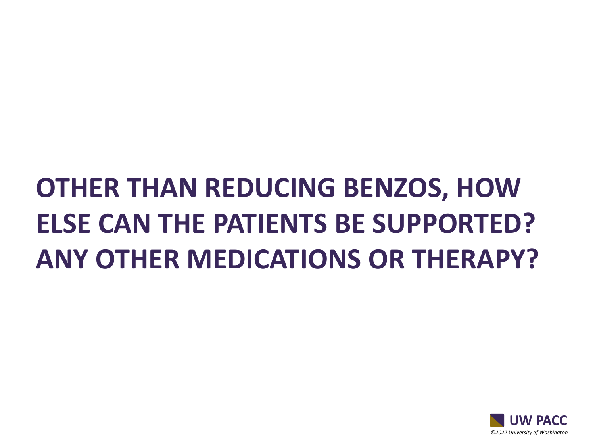### **OTHER THAN REDUCING BENZOS, HOW ELSE CAN THE PATIENTS BE SUPPORTED? ANY OTHER MEDICATIONS OR THERAPY?**

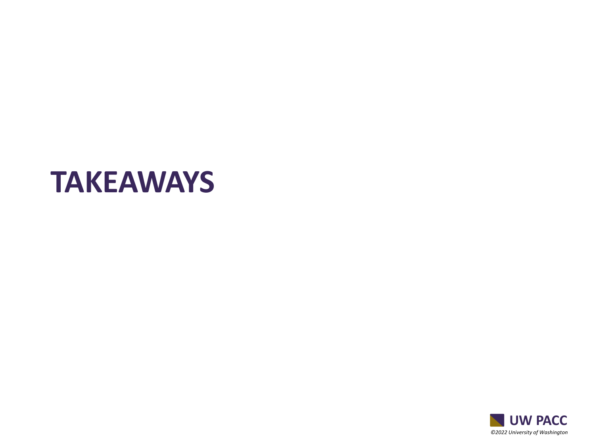#### **TAKEAWAYS**

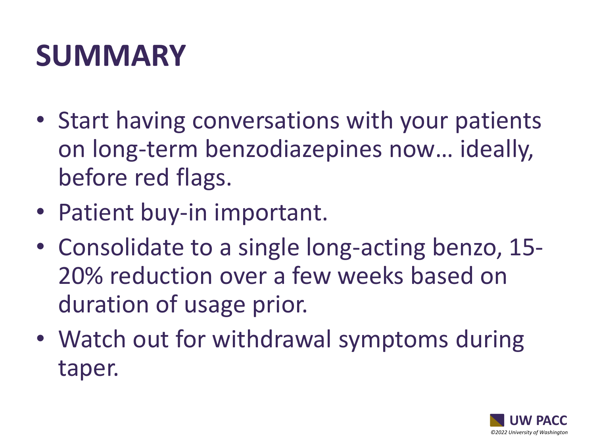## **SUMMARY**

- Start having conversations with your patients on long-term benzodiazepines now… ideally, before red flags.
- Patient buy-in important.
- Consolidate to a single long-acting benzo, 15- 20% reduction over a few weeks based on duration of usage prior.
- Watch out for withdrawal symptoms during taper.